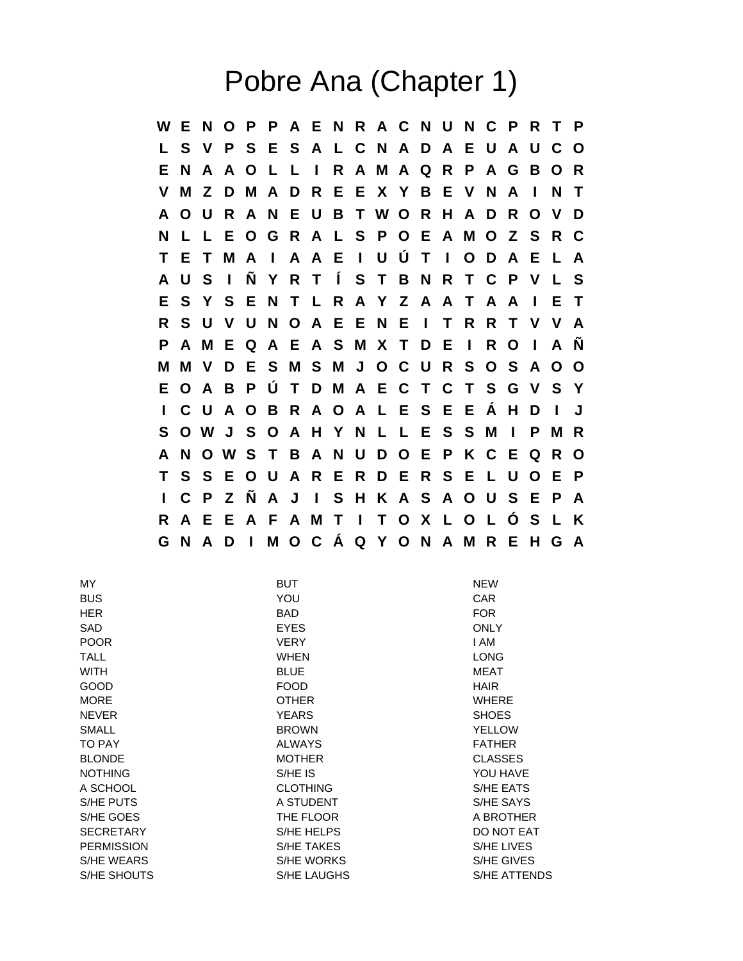## Pobre Ana (Chapter 1)

**W E N O P P A E N R A C N U N C P R T P L S V P S E S A L C N A D A E U A U C O E N A A O L L I R A M A Q R P A G B O R V M Z D M A D R E E X Y B E V N A I N T A O U R A N E U B T W O R H A D R O V D N L L E O G R A L S P O E A M O Z S R C T E T M A I A A E I U Ú T I O D A E L A A U S I Ñ Y R T Í S T B N R T C P V L S E S Y S E N T L R A Y Z A A T A A I E T R S U V U N O A E E N E I T R R T V V A P A M E Q A E A S M X T D E I R O I A Ñ M M V D E S M S M J O C U R S O S A O O E O A B P Ú T D M A E C T C T S G V S Y I C U A O B R A O A L E S E E Á H D I J S O W J S O A H Y N L L E S S M I P M R A N O W S T B A N U D O E P K C E Q R O T S S E O U A R E R D E R S E L U O E P I C P Z Ñ A J I S H K A S A O U S E P A R A E E A F A M T I T O X L O L Ó S L K G N A D I M O C Á Q Y O N A M R E H G A**

| MY.               | <b>BUT</b>        | <b>NEW</b>          |
|-------------------|-------------------|---------------------|
| <b>BUS</b>        | YOU               | <b>CAR</b>          |
| <b>HER</b>        | <b>BAD</b>        | <b>FOR</b>          |
| <b>SAD</b>        | <b>EYES</b>       | <b>ONLY</b>         |
| <b>POOR</b>       | <b>VERY</b>       | I AM                |
| <b>TALL</b>       | <b>WHEN</b>       | <b>LONG</b>         |
| <b>WITH</b>       | <b>BLUE</b>       | <b>MEAT</b>         |
| GOOD              | <b>FOOD</b>       | <b>HAIR</b>         |
| <b>MORE</b>       | <b>OTHER</b>      | <b>WHERE</b>        |
| <b>NEVER</b>      | <b>YEARS</b>      | <b>SHOES</b>        |
| <b>SMALL</b>      | <b>BROWN</b>      | <b>YELLOW</b>       |
| TO PAY            | <b>ALWAYS</b>     | <b>FATHER</b>       |
| <b>BLONDE</b>     | <b>MOTHER</b>     | <b>CLASSES</b>      |
| <b>NOTHING</b>    | S/HE IS           | YOU HAVE            |
| A SCHOOL          | <b>CLOTHING</b>   | S/HE EATS           |
| S/HE PUTS         | A STUDENT         | S/HE SAYS           |
| S/HE GOES         | THE FLOOR         | A BROTHER           |
| <b>SECRETARY</b>  | S/HE HELPS        | DO NOT EAT          |
| <b>PERMISSION</b> | <b>S/HE TAKES</b> | S/HE LIVES          |
| <b>S/HE WEARS</b> | S/HE WORKS        | S/HE GIVES          |
| S/HE SHOUTS       | S/HE LAUGHS       | <b>S/HE ATTENDS</b> |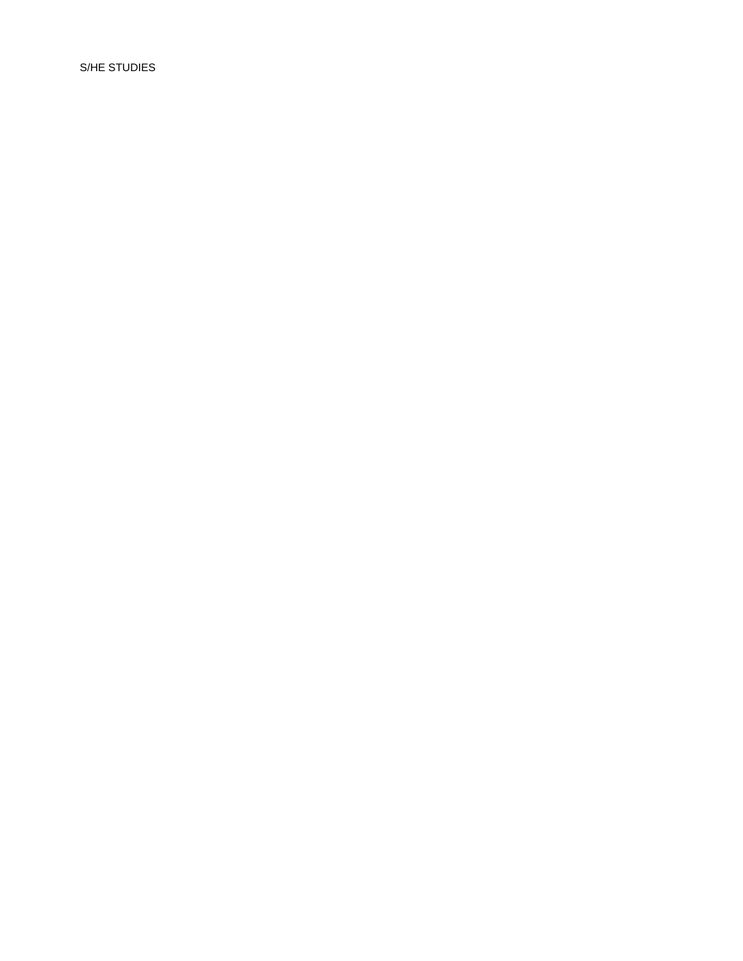S/HE STUDIES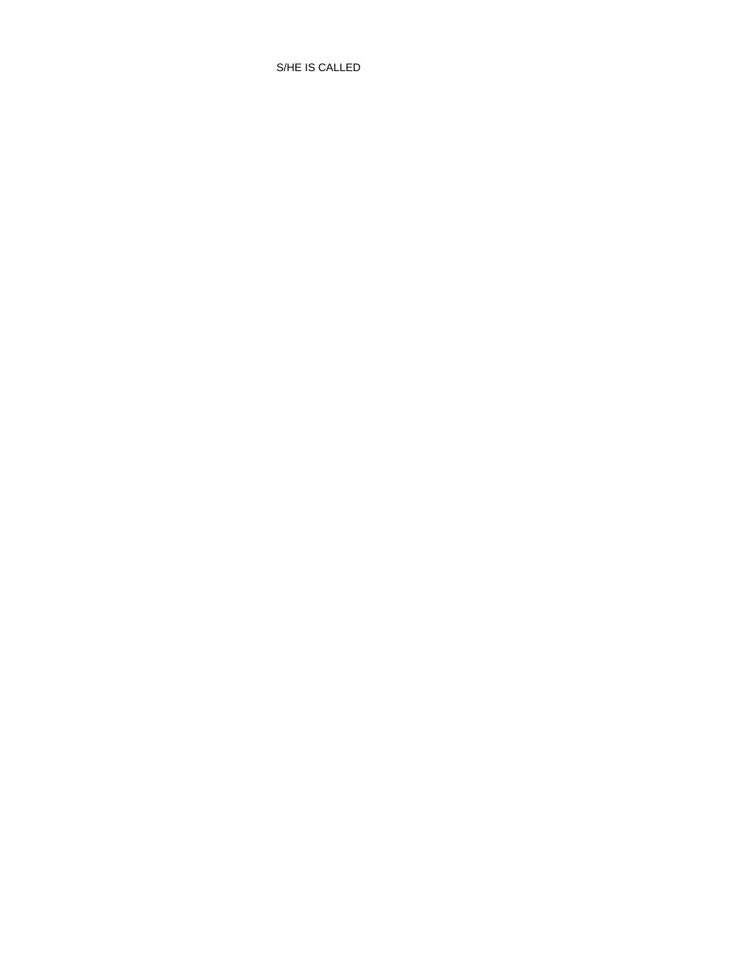S/HE IS CALLED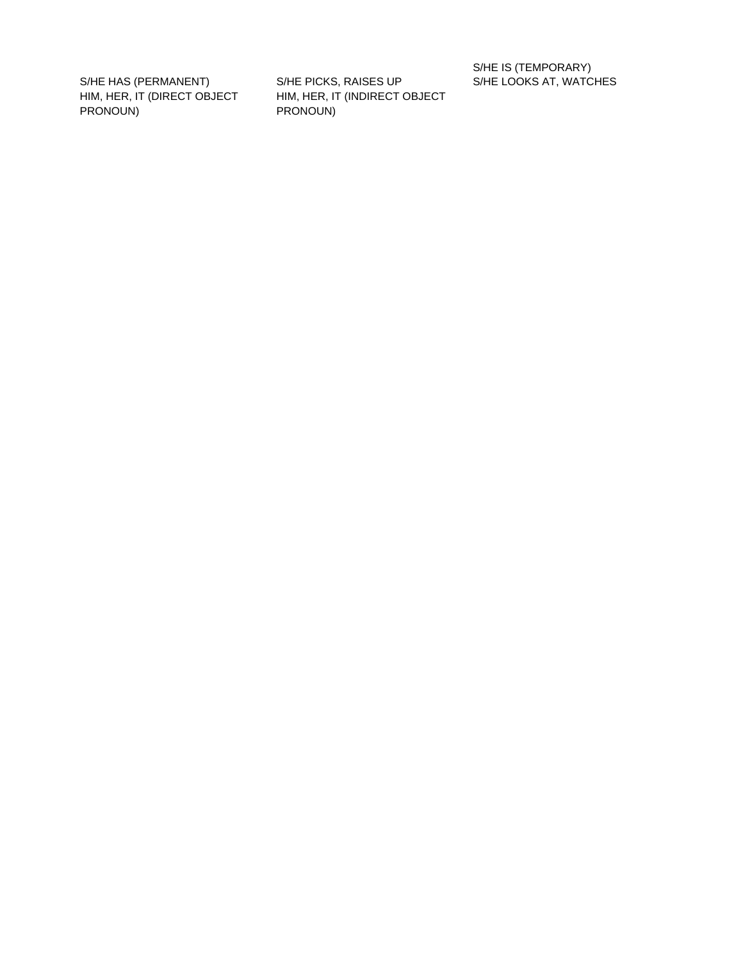HIM, HER, IT (DIRECT OBJECT PRONOUN)

S/HE HAS (PERMANENT) S/HE PICKS, RAISES UP S/HE LOOKS AT, WATCHES HIM, HER, IT (INDIRECT OBJECT PRONOUN)

S/HE IS (TEMPORARY)